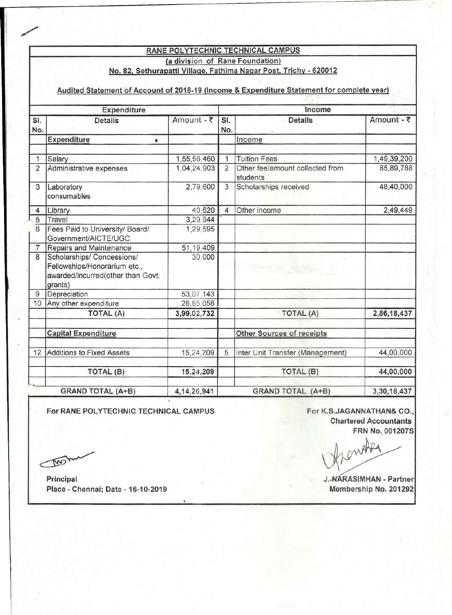## RANE POLYTECHNIC TECHNICAL CAMPUS (a division of Rane Foundation) No. 82, Sethurapatti Village, Fathima Nagar Post, Trichy - 620012

## Audited Statement of Account of 2018-19 (Income & Expenditure Statement for complete year)

| Expenditure                                |                                                                                                            |             |                          | Income                                      |             |  |  |
|--------------------------------------------|------------------------------------------------------------------------------------------------------------|-------------|--------------------------|---------------------------------------------|-------------|--|--|
| SI.<br>No.                                 | <b>Details</b>                                                                                             | Amount - ₹  | SI.<br>No.               | <b>Details</b>                              | Amount - ₹  |  |  |
|                                            | Expenditure<br>$\bullet$                                                                                   |             |                          | Income                                      |             |  |  |
| 1                                          | Salary                                                                                                     | 1,55,56,460 | 1                        | <b>Tuition Fees</b>                         | 1,49,39,200 |  |  |
| $\overline{2}$                             | Administrative expenses                                                                                    | 1,04,24,903 | $\overline{2}$           | Other fee/amount collected from<br>students | 85,89,788   |  |  |
| 3                                          | Laboratory<br>consumables                                                                                  | 2,79,600    | $\overline{3}$           | Scholarships received                       | 48,40,000   |  |  |
| 4                                          | Library                                                                                                    | 40,620      | $\overline{4}$           | Other income                                | 2,49,449    |  |  |
| 5                                          | Travel                                                                                                     | 3,29,944    |                          |                                             |             |  |  |
| 6                                          | Fees Paid to University/ Board/<br>Government/AICTE/UGC                                                    | 1,29,595    |                          |                                             |             |  |  |
| 7                                          | Repairs and Maintenance                                                                                    | 51,19,409   |                          |                                             |             |  |  |
| 8                                          | Scholarships/ Concessions/<br>Fellowships/Honorarium etc.,<br>awarded/incurred(other than Govt.<br>grants) | 30,000      |                          |                                             |             |  |  |
| 9                                          | Depreciation                                                                                               | 53,07,143   |                          |                                             |             |  |  |
| 10                                         | Any other expenditure                                                                                      | 26,85,058   |                          |                                             |             |  |  |
|                                            | TOTAL (A)                                                                                                  | 3,99,02,732 |                          | - TOTAL (A)                                 | 2,86,18,437 |  |  |
|                                            | <b>Capital Expenditure</b>                                                                                 |             |                          | Other Sources of receipts                   |             |  |  |
| 12                                         | <b>Additions to Fixed Assets</b>                                                                           | 15,24,209   | 5                        | Inter Unit Transfer (Management)            | 44,00,000   |  |  |
|                                            | TOTAL (B)                                                                                                  | 15,24,209   |                          | TOTAL (B)                                   | 44,00,000   |  |  |
| <b>GRAND TOTAL (A+B)</b><br>4, 14, 26, 941 |                                                                                                            |             | <b>GRAND TOTAL (A+B)</b> | 3,30,18,437                                 |             |  |  |

For RANE POLYTECHNIC TECHNICAL CAMPUS For K.S.JAGANNATHAN& CO.,

.

Chartered Accountants FRN No. 001207S

wo was a final distribution of the state of the state of the state of the state of the state of the state of the state of the state of the state of the state of the state of the state of the state of the state of the state

 $\sqrt{M}$ 

Place - Chennai; Date - 16-10-2019 Membership No. 201292